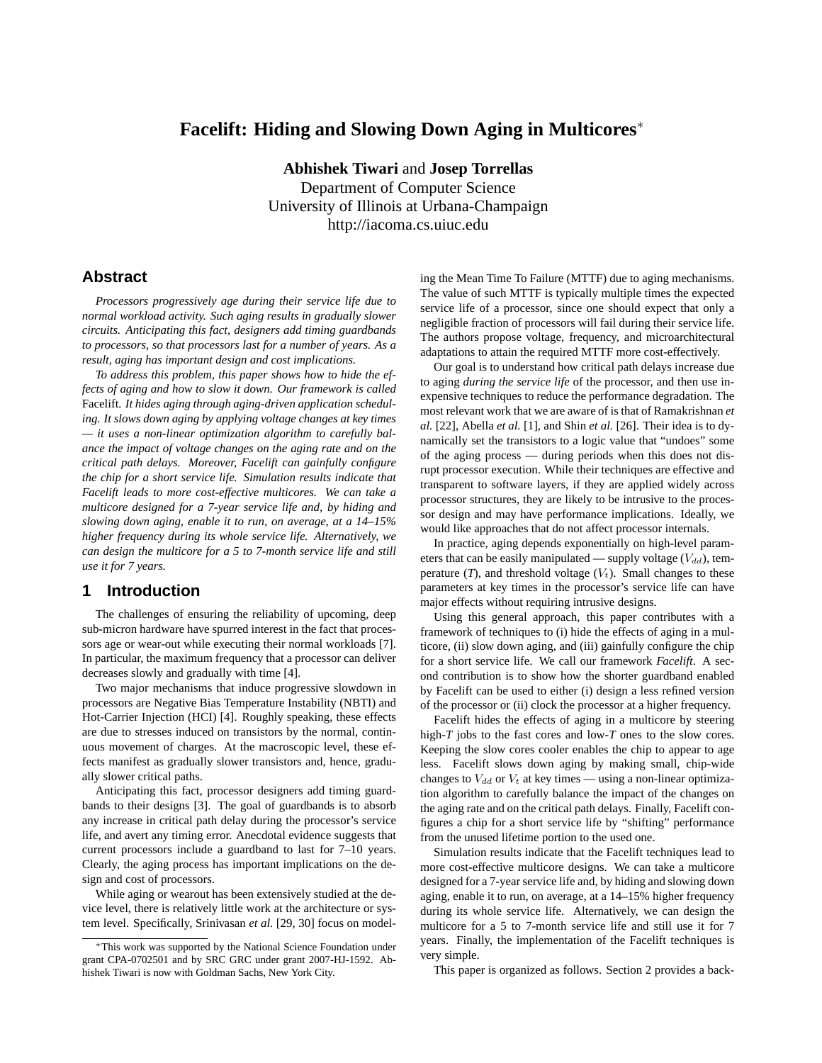# **Facelift: Hiding and Slowing Down Aging in Multicores**<sup>∗</sup>

**Abhishek Tiwari** and **Josep Torrellas** Department of Computer Science University of Illinois at Urbana-Champaign http://iacoma.cs.uiuc.edu

# **Abstract**

*Processors progressively age during their service life due to normal workload activity. Such aging results in gradually slower circuits. Anticipating this fact, designers add timing guardbands to processors, so that processors last for a number of years. As a result, aging has important design and cost implications.*

*To address this problem, this paper shows how to hide the effects of aging and how to slow it down. Our framework is called* Facelift*. It hides aging through aging-driven application scheduling. It slows down aging by applying voltage changes at key times — it uses a non-linear optimization algorithm to carefully balance the impact of voltage changes on the aging rate and on the critical path delays. Moreover, Facelift can gainfully configure the chip for a short service life. Simulation results indicate that Facelift leads to more cost-effective multicores. We can take a multicore designed for a 7-year service life and, by hiding and slowing down aging, enable it to run, on average, at a 14–15% higher frequency during its whole service life. Alternatively, we can design the multicore for a 5 to 7-month service life and still use it for 7 years.*

# **1 Introduction**

The challenges of ensuring the reliability of upcoming, deep sub-micron hardware have spurred interest in the fact that processors age or wear-out while executing their normal workloads [7]. In particular, the maximum frequency that a processor can deliver decreases slowly and gradually with time [4].

Two major mechanisms that induce progressive slowdown in processors are Negative Bias Temperature Instability (NBTI) and Hot-Carrier Injection (HCI) [4]. Roughly speaking, these effects are due to stresses induced on transistors by the normal, continuous movement of charges. At the macroscopic level, these effects manifest as gradually slower transistors and, hence, gradually slower critical paths.

Anticipating this fact, processor designers add timing guardbands to their designs [3]. The goal of guardbands is to absorb any increase in critical path delay during the processor's service life, and avert any timing error. Anecdotal evidence suggests that current processors include a guardband to last for 7–10 years. Clearly, the aging process has important implications on the design and cost of processors.

While aging or wearout has been extensively studied at the device level, there is relatively little work at the architecture or system level. Specifically, Srinivasan *et al.* [29, 30] focus on modeling the Mean Time To Failure (MTTF) due to aging mechanisms. The value of such MTTF is typically multiple times the expected service life of a processor, since one should expect that only a negligible fraction of processors will fail during their service life. The authors propose voltage, frequency, and microarchitectural adaptations to attain the required MTTF more cost-effectively.

Our goal is to understand how critical path delays increase due to aging *during the service life* of the processor, and then use inexpensive techniques to reduce the performance degradation. The most relevant work that we are aware of is that of Ramakrishnan *et al.* [22], Abella *et al.* [1], and Shin *et al.* [26]. Their idea is to dynamically set the transistors to a logic value that "undoes" some of the aging process — during periods when this does not disrupt processor execution. While their techniques are effective and transparent to software layers, if they are applied widely across processor structures, they are likely to be intrusive to the processor design and may have performance implications. Ideally, we would like approaches that do not affect processor internals.

In practice, aging depends exponentially on high-level parameters that can be easily manipulated — supply voltage  $(V_{dd})$ , temperature  $(T)$ , and threshold voltage  $(V_t)$ . Small changes to these parameters at key times in the processor's service life can have major effects without requiring intrusive designs.

Using this general approach, this paper contributes with a framework of techniques to (i) hide the effects of aging in a multicore, (ii) slow down aging, and (iii) gainfully configure the chip for a short service life. We call our framework *Facelift*. A second contribution is to show how the shorter guardband enabled by Facelift can be used to either (i) design a less refined version of the processor or (ii) clock the processor at a higher frequency.

Facelift hides the effects of aging in a multicore by steering high-*T* jobs to the fast cores and low-*T* ones to the slow cores. Keeping the slow cores cooler enables the chip to appear to age less. Facelift slows down aging by making small, chip-wide changes to  $V_{dd}$  or  $V_t$  at key times — using a non-linear optimization algorithm to carefully balance the impact of the changes on the aging rate and on the critical path delays. Finally, Facelift configures a chip for a short service life by "shifting" performance from the unused lifetime portion to the used one.

Simulation results indicate that the Facelift techniques lead to more cost-effective multicore designs. We can take a multicore designed for a 7-year service life and, by hiding and slowing down aging, enable it to run, on average, at a 14–15% higher frequency during its whole service life. Alternatively, we can design the multicore for a 5 to 7-month service life and still use it for 7 years. Finally, the implementation of the Facelift techniques is very simple.

This paper is organized as follows. Section 2 provides a back-

<sup>∗</sup>This work was supported by the National Science Foundation under grant CPA-0702501 and by SRC GRC under grant 2007-HJ-1592. Abhishek Tiwari is now with Goldman Sachs, New York City.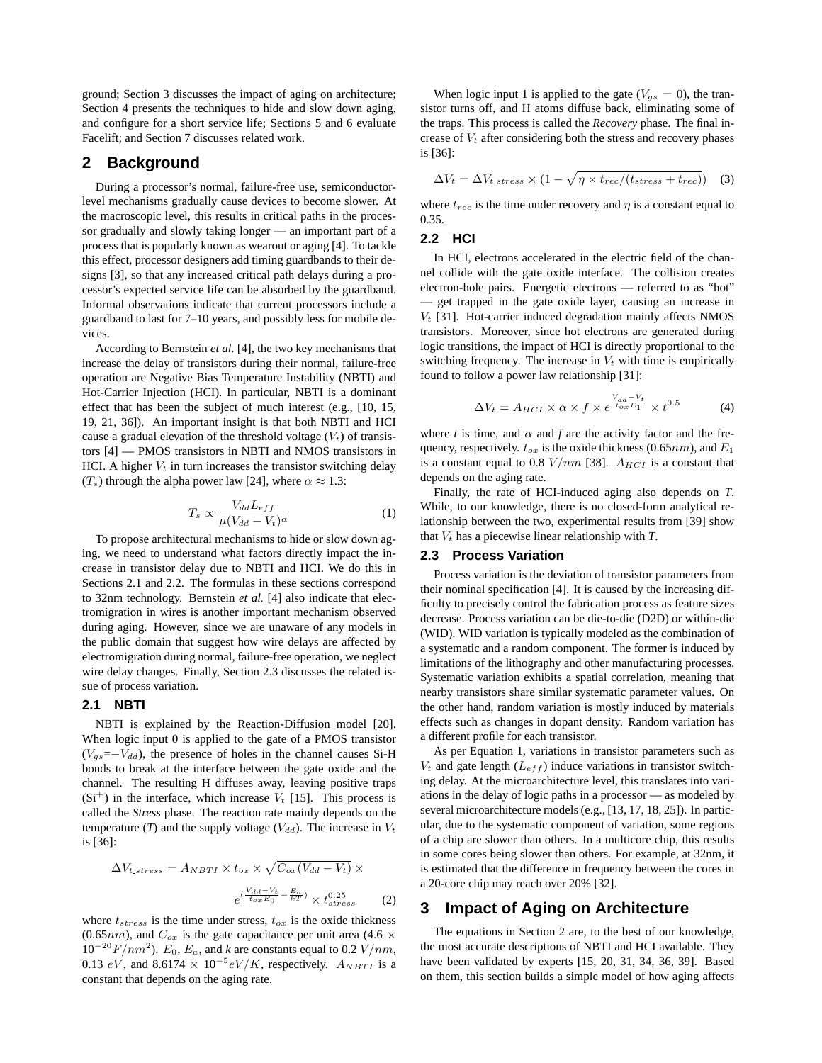ground; Section 3 discusses the impact of aging on architecture; Section 4 presents the techniques to hide and slow down aging, and configure for a short service life; Sections 5 and 6 evaluate Facelift; and Section 7 discusses related work.

# **2 Background**

During a processor's normal, failure-free use, semiconductorlevel mechanisms gradually cause devices to become slower. At the macroscopic level, this results in critical paths in the processor gradually and slowly taking longer — an important part of a process that is popularly known as wearout or aging [4]. To tackle this effect, processor designers add timing guardbands to their designs [3], so that any increased critical path delays during a processor's expected service life can be absorbed by the guardband. Informal observations indicate that current processors include a guardband to last for 7–10 years, and possibly less for mobile devices.

According to Bernstein *et al.* [4], the two key mechanisms that increase the delay of transistors during their normal, failure-free operation are Negative Bias Temperature Instability (NBTI) and Hot-Carrier Injection (HCI). In particular, NBTI is a dominant effect that has been the subject of much interest (e.g., [10, 15, 19, 21, 36]). An important insight is that both NBTI and HCI cause a gradual elevation of the threshold voltage  $(V_t)$  of transistors [4] — PMOS transistors in NBTI and NMOS transistors in HCI. A higher  $V_t$  in turn increases the transistor switching delay (T<sub>s</sub>) through the alpha power law [24], where  $\alpha \approx 1.3$ :

$$
T_s \propto \frac{V_{dd} L_{eff}}{\mu (V_{dd} - V_t)^{\alpha}} \tag{1}
$$

To propose architectural mechanisms to hide or slow down aging, we need to understand what factors directly impact the increase in transistor delay due to NBTI and HCI. We do this in Sections 2.1 and 2.2. The formulas in these sections correspond to 32nm technology. Bernstein *et al.* [4] also indicate that electromigration in wires is another important mechanism observed during aging. However, since we are unaware of any models in the public domain that suggest how wire delays are affected by electromigration during normal, failure-free operation, we neglect wire delay changes. Finally, Section 2.3 discusses the related issue of process variation.

### **2.1 NBTI**

NBTI is explained by the Reaction-Diffusion model [20]. When logic input 0 is applied to the gate of a PMOS transistor  $(V_{gs}=-V_{dd})$ , the presence of holes in the channel causes Si-H bonds to break at the interface between the gate oxide and the channel. The resulting H diffuses away, leaving positive traps  $(Si^+)$  in the interface, which increase  $V_t$  [15]. This process is called the *Stress* phase. The reaction rate mainly depends on the temperature (*T*) and the supply voltage ( $V_{dd}$ ). The increase in  $V_t$ is [36]:

$$
\Delta V_{t\text{stress}} = A_{NBTI} \times t_{ox} \times \sqrt{C_{ox}(V_{dd} - V_t)} \times
$$

$$
e^{\left(\frac{V_{dd} - V_t}{t_{ox} E_0} - \frac{E_a}{kT}\right)} \times t_{stress}^{0.25}
$$
 (2)

where  $t_{stress}$  is the time under stress,  $t_{ox}$  is the oxide thickness (0.65nm), and  $C_{ox}$  is the gate capacitance per unit area (4.6  $\times$  $10^{-20} F/nm^2$ ).  $E_0$ ,  $E_a$ , and *k* are constants equal to 0.2  $V/nm$ , 0.13 *eV*, and 8.6174  $\times$  10<sup>-5</sup>*eV*/*K*, respectively.  $A_{NBTI}$  is a constant that depends on the aging rate.

When logic input 1 is applied to the gate ( $V_{gs} = 0$ ), the transistor turns off, and H atoms diffuse back, eliminating some of the traps. This process is called the *Recovery* phase. The final increase of  $V_t$  after considering both the stress and recovery phases is [36]:

$$
\Delta V_t = \Delta V_{t\text{-stress}} \times (1 - \sqrt{\eta \times t_{rec}/(t_{stress} + t_{rec})})
$$
 (3)

where  $t_{rec}$  is the time under recovery and  $\eta$  is a constant equal to 0.35.

## **2.2 HCI**

In HCI, electrons accelerated in the electric field of the channel collide with the gate oxide interface. The collision creates electron-hole pairs. Energetic electrons — referred to as "hot" — get trapped in the gate oxide layer, causing an increase in  $V_t$  [31]. Hot-carrier induced degradation mainly affects NMOS transistors. Moreover, since hot electrons are generated during logic transitions, the impact of HCI is directly proportional to the switching frequency. The increase in  $V_t$  with time is empirically found to follow a power law relationship [31]:

$$
\Delta V_t = A_{HCI} \times \alpha \times f \times e^{\frac{V_{dd} - V_t}{t_{ox} E_1}} \times t^{0.5}
$$
 (4)

where *t* is time, and  $\alpha$  and  $f$  are the activity factor and the frequency, respectively.  $t_{ox}$  is the oxide thickness (0.65nm), and  $E_1$ is a constant equal to 0.8  $V/nm$  [38].  $A_{HCI}$  is a constant that depends on the aging rate.

Finally, the rate of HCI-induced aging also depends on *T*. While, to our knowledge, there is no closed-form analytical relationship between the two, experimental results from [39] show that  $V_t$  has a piecewise linear relationship with  $T$ .

#### **2.3 Process Variation**

Process variation is the deviation of transistor parameters from their nominal specification [4]. It is caused by the increasing difficulty to precisely control the fabrication process as feature sizes decrease. Process variation can be die-to-die (D2D) or within-die (WID). WID variation is typically modeled as the combination of a systematic and a random component. The former is induced by limitations of the lithography and other manufacturing processes. Systematic variation exhibits a spatial correlation, meaning that nearby transistors share similar systematic parameter values. On the other hand, random variation is mostly induced by materials effects such as changes in dopant density. Random variation has a different profile for each transistor.

As per Equation 1, variations in transistor parameters such as  $V_t$  and gate length ( $L_{eff}$ ) induce variations in transistor switching delay. At the microarchitecture level, this translates into variations in the delay of logic paths in a processor — as modeled by several microarchitecture models (e.g., [13, 17, 18, 25]). In particular, due to the systematic component of variation, some regions of a chip are slower than others. In a multicore chip, this results in some cores being slower than others. For example, at 32nm, it is estimated that the difference in frequency between the cores in a 20-core chip may reach over 20% [32].

# **3 Impact of Aging on Architecture**

The equations in Section 2 are, to the best of our knowledge, the most accurate descriptions of NBTI and HCI available. They have been validated by experts [15, 20, 31, 34, 36, 39]. Based on them, this section builds a simple model of how aging affects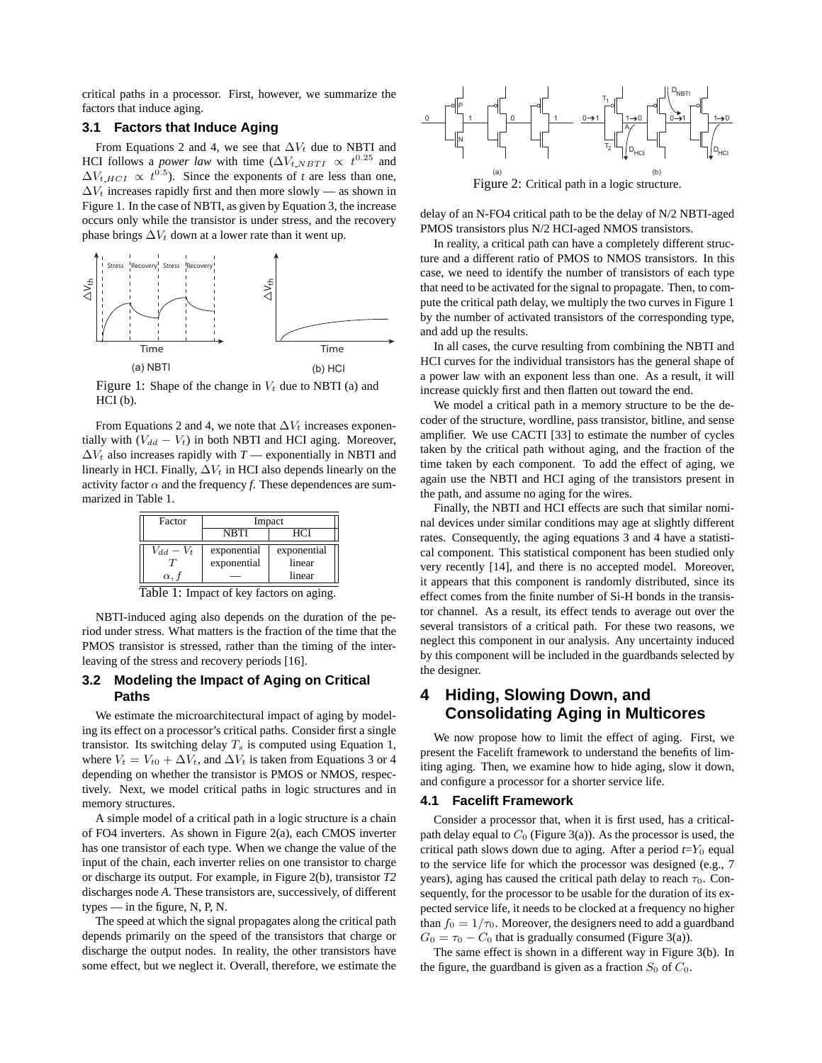critical paths in a processor. First, however, we summarize the factors that induce aging.

### **3.1 Factors that Induce Aging**

From Equations 2 and 4, we see that  $\Delta V_t$  due to NBTI and HCI follows a *power law* with time  $(\Delta V_{t. NBTI} \propto t^{0.25}$  and  $\Delta V_{t,HCI} \propto t^{0.5}$ ). Since the exponents of *t* are less than one,  $\Delta V_t$  increases rapidly first and then more slowly — as shown in Figure 1. In the case of NBTI, as given by Equation 3, the increase occurs only while the transistor is under stress, and the recovery phase brings  $\Delta V_t$  down at a lower rate than it went up.



Figure 1: Shape of the change in  $V_t$  due to NBTI (a) and HCI (b).

From Equations 2 and 4, we note that  $\Delta V_t$  increases exponentially with  $(V_{dd} - V_t)$  in both NBTI and HCI aging. Moreover,  $\Delta V_t$  also increases rapidly with *T* — exponentially in NBTI and linearly in HCI. Finally,  $\Delta V_t$  in HCI also depends linearly on the activity factor  $\alpha$  and the frequency *f*. These dependences are summarized in Table 1.

| Factor       | Impact      |             |  |
|--------------|-------------|-------------|--|
|              | <b>NBTI</b> | HCI         |  |
| $V_t$<br>Vdd | exponential | exponential |  |
|              | exponential | linear      |  |
| $\alpha$ , f |             | linear      |  |

Table 1: Impact of key factors on aging.

NBTI-induced aging also depends on the duration of the period under stress. What matters is the fraction of the time that the PMOS transistor is stressed, rather than the timing of the interleaving of the stress and recovery periods [16].

## **3.2 Modeling the Impact of Aging on Critical Paths**

We estimate the microarchitectural impact of aging by modeling its effect on a processor's critical paths. Consider first a single transistor. Its switching delay  $T_s$  is computed using Equation 1, where  $V_t = V_{t0} + \Delta V_t$ , and  $\Delta V_t$  is taken from Equations 3 or 4 depending on whether the transistor is PMOS or NMOS, respectively. Next, we model critical paths in logic structures and in memory structures.

A simple model of a critical path in a logic structure is a chain of FO4 inverters. As shown in Figure 2(a), each CMOS inverter has one transistor of each type. When we change the value of the input of the chain, each inverter relies on one transistor to charge or discharge its output. For example, in Figure 2(b), transistor *T2* discharges node *A*. These transistors are, successively, of different types — in the figure, N, P, N.

The speed at which the signal propagates along the critical path depends primarily on the speed of the transistors that charge or discharge the output nodes. In reality, the other transistors have some effect, but we neglect it. Overall, therefore, we estimate the



Figure 2: Critical path in a logic structure.

delay of an N-FO4 critical path to be the delay of N/2 NBTI-aged PMOS transistors plus N/2 HCI-aged NMOS transistors.

In reality, a critical path can have a completely different structure and a different ratio of PMOS to NMOS transistors. In this case, we need to identify the number of transistors of each type that need to be activated for the signal to propagate. Then, to compute the critical path delay, we multiply the two curves in Figure 1 by the number of activated transistors of the corresponding type, and add up the results.

In all cases, the curve resulting from combining the NBTI and HCI curves for the individual transistors has the general shape of a power law with an exponent less than one. As a result, it will increase quickly first and then flatten out toward the end.

We model a critical path in a memory structure to be the decoder of the structure, wordline, pass transistor, bitline, and sense amplifier. We use CACTI [33] to estimate the number of cycles taken by the critical path without aging, and the fraction of the time taken by each component. To add the effect of aging, we again use the NBTI and HCI aging of the transistors present in the path, and assume no aging for the wires.

Finally, the NBTI and HCI effects are such that similar nominal devices under similar conditions may age at slightly different rates. Consequently, the aging equations 3 and 4 have a statistical component. This statistical component has been studied only very recently [14], and there is no accepted model. Moreover, it appears that this component is randomly distributed, since its effect comes from the finite number of Si-H bonds in the transistor channel. As a result, its effect tends to average out over the several transistors of a critical path. For these two reasons, we neglect this component in our analysis. Any uncertainty induced by this component will be included in the guardbands selected by the designer.

# **4 Hiding, Slowing Down, and Consolidating Aging in Multicores**

We now propose how to limit the effect of aging. First, we present the Facelift framework to understand the benefits of limiting aging. Then, we examine how to hide aging, slow it down, and configure a processor for a shorter service life.

#### **4.1 Facelift Framework**

Consider a processor that, when it is first used, has a criticalpath delay equal to  $C_0$  (Figure 3(a)). As the processor is used, the critical path slows down due to aging. After a period  $t=Y_0$  equal to the service life for which the processor was designed (e.g., 7 years), aging has caused the critical path delay to reach  $\tau_0$ . Consequently, for the processor to be usable for the duration of its expected service life, it needs to be clocked at a frequency no higher than  $f_0 = 1/\tau_0$ . Moreover, the designers need to add a guardband  $G_0 = \tau_0 - C_0$  that is gradually consumed (Figure 3(a)).

The same effect is shown in a different way in Figure 3(b). In the figure, the guardband is given as a fraction  $S_0$  of  $C_0$ .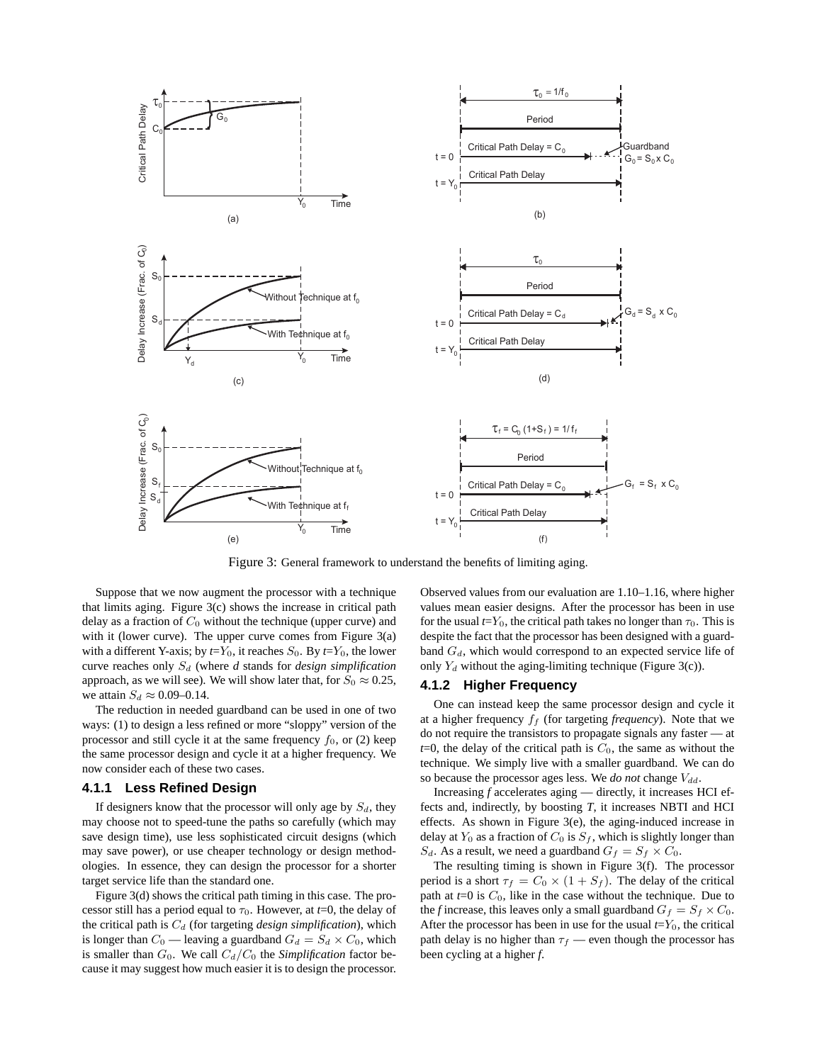

Figure 3: General framework to understand the benefits of limiting aging.

Suppose that we now augment the processor with a technique that limits aging. Figure 3(c) shows the increase in critical path delay as a fraction of  $C_0$  without the technique (upper curve) and with it (lower curve). The upper curve comes from Figure 3(a) with a different Y-axis; by  $t=Y_0$ , it reaches  $S_0$ . By  $t=Y_0$ , the lower curve reaches only  $S_d$  (where  $d$  stands for *design simplification* approach, as we will see). We will show later that, for  $S_0 \approx 0.25$ , we attain  $S_d \approx 0.09{\text -}0.14$ .

The reduction in needed guardband can be used in one of two ways: (1) to design a less refined or more "sloppy" version of the processor and still cycle it at the same frequency  $f_0$ , or (2) keep the same processor design and cycle it at a higher frequency. We now consider each of these two cases.

#### **4.1.1 Less Refined Design**

If designers know that the processor will only age by  $S_d$ , they may choose not to speed-tune the paths so carefully (which may save design time), use less sophisticated circuit designs (which may save power), or use cheaper technology or design methodologies. In essence, they can design the processor for a shorter target service life than the standard one.

Figure 3(d) shows the critical path timing in this case. The processor still has a period equal to  $\tau_0$ . However, at *t*=0, the delay of the critical path is  $C_d$  (for targeting *design simplification*), which is longer than  $C_0$  — leaving a guardband  $G_d = S_d \times C_0$ , which is smaller than  $G_0$ . We call  $C_d/C_0$  the *Simplification* factor because it may suggest how much easier it is to design the processor.

Observed values from our evaluation are 1.10–1.16, where higher values mean easier designs. After the processor has been in use for the usual  $t=Y_0$ , the critical path takes no longer than  $\tau_0$ . This is despite the fact that the processor has been designed with a guardband  $G_d$ , which would correspond to an expected service life of only  $Y_d$  without the aging-limiting technique (Figure 3(c)).

## **4.1.2 Higher Frequency**

One can instead keep the same processor design and cycle it at a higher frequency  $f_f$  (for targeting *frequency*). Note that we do not require the transistors to propagate signals any faster — at  $t=0$ , the delay of the critical path is  $C_0$ , the same as without the technique. We simply live with a smaller guardband. We can do so because the processor ages less. We *do not* change  $V_{dd}$ .

Increasing *f* accelerates aging — directly, it increases HCI effects and, indirectly, by boosting *T*, it increases NBTI and HCI effects. As shown in Figure 3(e), the aging-induced increase in delay at  $Y_0$  as a fraction of  $C_0$  is  $S_f$ , which is slightly longer than  $S_d$ . As a result, we need a guardband  $G_f = S_f \times C_0$ .

The resulting timing is shown in Figure 3(f). The processor period is a short  $\tau_f = C_0 \times (1 + S_f)$ . The delay of the critical path at  $t=0$  is  $C_0$ , like in the case without the technique. Due to the *f* increase, this leaves only a small guardband  $G_f = S_f \times C_0$ . After the processor has been in use for the usual  $t=Y_0$ , the critical path delay is no higher than  $\tau_f$  — even though the processor has been cycling at a higher *f*.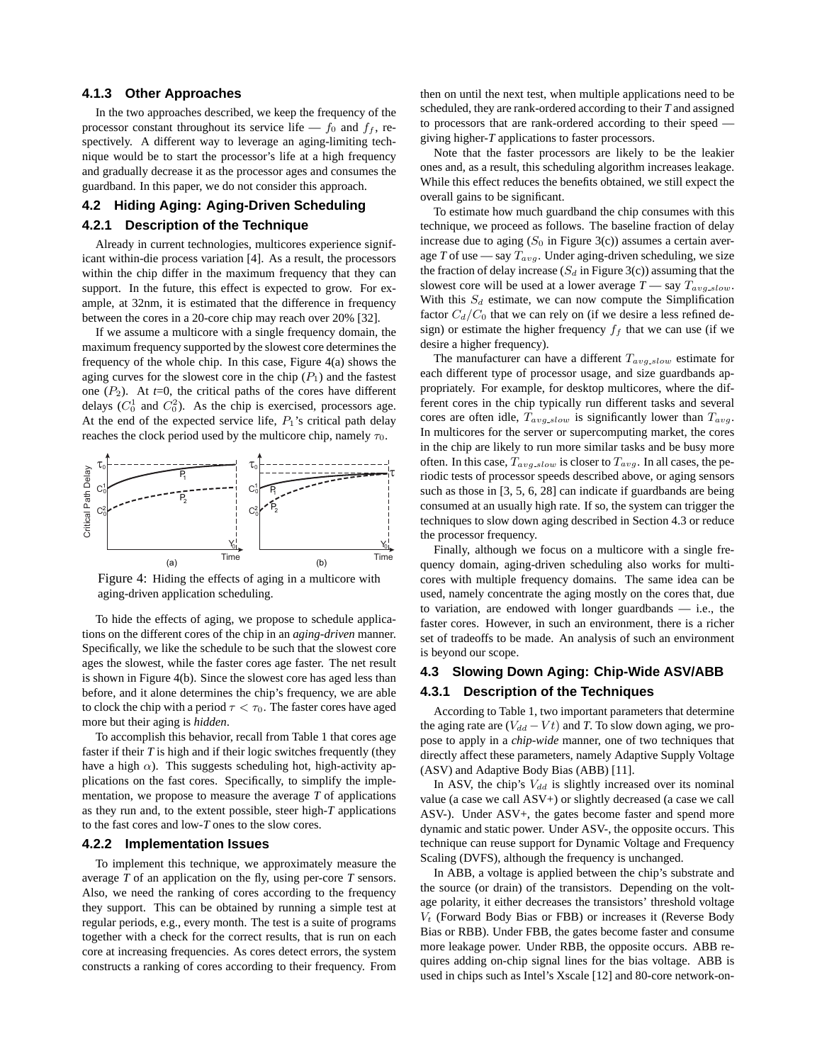#### **4.1.3 Other Approaches**

In the two approaches described, we keep the frequency of the processor constant throughout its service life  $-f_0$  and  $f_f$ , respectively. A different way to leverage an aging-limiting technique would be to start the processor's life at a high frequency and gradually decrease it as the processor ages and consumes the guardband. In this paper, we do not consider this approach.

# **4.2 Hiding Aging: Aging-Driven Scheduling**

## **4.2.1 Description of the Technique**

Already in current technologies, multicores experience significant within-die process variation [4]. As a result, the processors within the chip differ in the maximum frequency that they can support. In the future, this effect is expected to grow. For example, at 32nm, it is estimated that the difference in frequency between the cores in a 20-core chip may reach over 20% [32].

If we assume a multicore with a single frequency domain, the maximum frequency supported by the slowest core determines the frequency of the whole chip. In this case, Figure 4(a) shows the aging curves for the slowest core in the chip  $(P_1)$  and the fastest one  $(P_2)$ . At  $t=0$ , the critical paths of the cores have different delays ( $C_0^1$  and  $C_0^2$ ). As the chip is exercised, processors age. At the end of the expected service life,  $P_1$ 's critical path delay reaches the clock period used by the multicore chip, namely  $\tau_0$ .



Figure 4: Hiding the effects of aging in a multicore with aging-driven application scheduling.

To hide the effects of aging, we propose to schedule applications on the different cores of the chip in an *aging-driven* manner. Specifically, we like the schedule to be such that the slowest core ages the slowest, while the faster cores age faster. The net result is shown in Figure 4(b). Since the slowest core has aged less than before, and it alone determines the chip's frequency, we are able to clock the chip with a period  $\tau < \tau_0$ . The faster cores have aged more but their aging is *hidden*.

To accomplish this behavior, recall from Table 1 that cores age faster if their *T* is high and if their logic switches frequently (they have a high  $\alpha$ ). This suggests scheduling hot, high-activity applications on the fast cores. Specifically, to simplify the implementation, we propose to measure the average *T* of applications as they run and, to the extent possible, steer high-*T* applications to the fast cores and low-*T* ones to the slow cores.

#### **4.2.2 Implementation Issues**

To implement this technique, we approximately measure the average *T* of an application on the fly, using per-core *T* sensors. Also, we need the ranking of cores according to the frequency they support. This can be obtained by running a simple test at regular periods, e.g., every month. The test is a suite of programs together with a check for the correct results, that is run on each core at increasing frequencies. As cores detect errors, the system constructs a ranking of cores according to their frequency. From then on until the next test, when multiple applications need to be scheduled, they are rank-ordered according to their *T* and assigned to processors that are rank-ordered according to their speed giving higher-*T* applications to faster processors.

Note that the faster processors are likely to be the leakier ones and, as a result, this scheduling algorithm increases leakage. While this effect reduces the benefits obtained, we still expect the overall gains to be significant.

To estimate how much guardband the chip consumes with this technique, we proceed as follows. The baseline fraction of delay increase due to aging  $(S_0$  in Figure 3(c)) assumes a certain average *T* of use — say  $T_{avg}$ . Under aging-driven scheduling, we size the fraction of delay increase ( $S_d$  in Figure 3(c)) assuming that the slowest core will be used at a lower average  $T$  — say  $T_{avg\_slow}$ . With this  $S_d$  estimate, we can now compute the Simplification factor  $C_d/C_0$  that we can rely on (if we desire a less refined design) or estimate the higher frequency  $f_f$  that we can use (if we desire a higher frequency).

The manufacturer can have a different  $T_{avg\_slow}$  estimate for each different type of processor usage, and size guardbands appropriately. For example, for desktop multicores, where the different cores in the chip typically run different tasks and several cores are often idle,  $T_{avg,slow}$  is significantly lower than  $T_{avg}$ . In multicores for the server or supercomputing market, the cores in the chip are likely to run more similar tasks and be busy more often. In this case,  $T_{avg\_slow}$  is closer to  $T_{avg}$ . In all cases, the periodic tests of processor speeds described above, or aging sensors such as those in [3, 5, 6, 28] can indicate if guardbands are being consumed at an usually high rate. If so, the system can trigger the techniques to slow down aging described in Section 4.3 or reduce the processor frequency.

Finally, although we focus on a multicore with a single frequency domain, aging-driven scheduling also works for multicores with multiple frequency domains. The same idea can be used, namely concentrate the aging mostly on the cores that, due to variation, are endowed with longer guardbands — i.e., the faster cores. However, in such an environment, there is a richer set of tradeoffs to be made. An analysis of such an environment is beyond our scope.

# **4.3 Slowing Down Aging: Chip-Wide ASV/ABB 4.3.1 Description of the Techniques**

According to Table 1, two important parameters that determine the aging rate are  $(V_{dd} - Vt)$  and *T*. To slow down aging, we propose to apply in a *chip-wide* manner, one of two techniques that directly affect these parameters, namely Adaptive Supply Voltage (ASV) and Adaptive Body Bias (ABB) [11].

In ASV, the chip's  $V_{dd}$  is slightly increased over its nominal value (a case we call ASV+) or slightly decreased (a case we call ASV-). Under ASV+, the gates become faster and spend more dynamic and static power. Under ASV-, the opposite occurs. This technique can reuse support for Dynamic Voltage and Frequency Scaling (DVFS), although the frequency is unchanged.

In ABB, a voltage is applied between the chip's substrate and the source (or drain) of the transistors. Depending on the voltage polarity, it either decreases the transistors' threshold voltage  $V_t$  (Forward Body Bias or FBB) or increases it (Reverse Body Bias or RBB). Under FBB, the gates become faster and consume more leakage power. Under RBB, the opposite occurs. ABB requires adding on-chip signal lines for the bias voltage. ABB is used in chips such as Intel's Xscale [12] and 80-core network-on-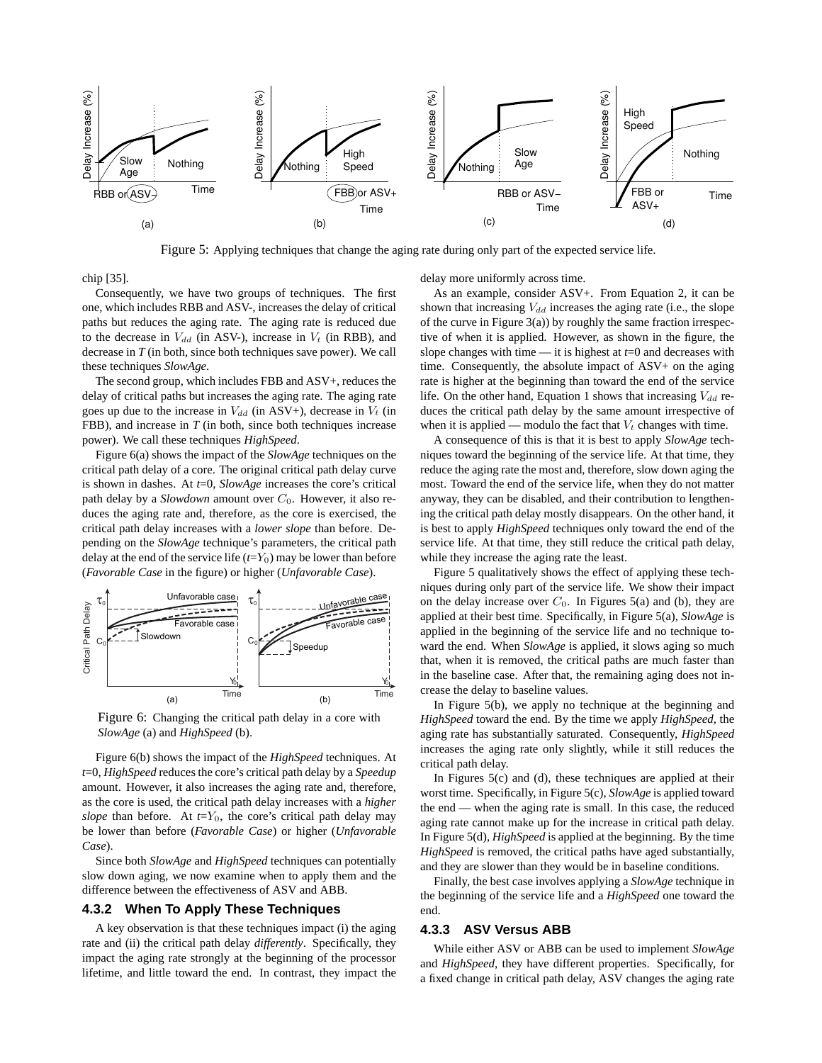

Figure 5: Applying techniques that change the aging rate during only part of the expected service life.

chip [35].

Consequently, we have two groups of techniques. The first one, which includes RBB and ASV-, increases the delay of critical paths but reduces the aging rate. The aging rate is reduced due to the decrease in  $V_{dd}$  (in ASV-), increase in  $V_t$  (in RBB), and decrease in *T* (in both, since both techniques save power). We call these techniques *SlowAge*.

The second group, which includes FBB and ASV+, reduces the delay of critical paths but increases the aging rate. The aging rate goes up due to the increase in  $V_{dd}$  (in ASV+), decrease in  $V_t$  (in FBB), and increase in *T* (in both, since both techniques increase power). We call these techniques *HighSpeed*.

Figure 6(a) shows the impact of the *SlowAge* techniques on the critical path delay of a core. The original critical path delay curve is shown in dashes. At *t*=0, *SlowAge* increases the core's critical path delay by a *Slowdown* amount over  $C_0$ . However, it also reduces the aging rate and, therefore, as the core is exercised, the critical path delay increases with a *lower slope* than before. Depending on the *SlowAge* technique's parameters, the critical path delay at the end of the service life  $(t=Y_0)$  may be lower than before (*Favorable Case* in the figure) or higher (*Unfavorable Case*).



Figure 6: Changing the critical path delay in a core with *SlowAge* (a) and *HighSpeed* (b).

Figure 6(b) shows the impact of the *HighSpeed* techniques. At *t*=0, *HighSpeed* reduces the core's critical path delay by a *Speedup* amount. However, it also increases the aging rate and, therefore, as the core is used, the critical path delay increases with a *higher slope* than before. At  $t = Y_0$ , the core's critical path delay may be lower than before (*Favorable Case*) or higher (*Unfavorable Case*).

Since both *SlowAge* and *HighSpeed* techniques can potentially slow down aging, we now examine when to apply them and the difference between the effectiveness of ASV and ABB.

#### **4.3.2 When To Apply These Techniques**

A key observation is that these techniques impact (i) the aging rate and (ii) the critical path delay *differently*. Specifically, they impact the aging rate strongly at the beginning of the processor lifetime, and little toward the end. In contrast, they impact the delay more uniformly across time.

As an example, consider ASV+. From Equation 2, it can be shown that increasing  $V_{dd}$  increases the aging rate (i.e., the slope of the curve in Figure  $3(a)$ ) by roughly the same fraction irrespective of when it is applied. However, as shown in the figure, the slope changes with time — it is highest at *t*=0 and decreases with time. Consequently, the absolute impact of ASV+ on the aging rate is higher at the beginning than toward the end of the service life. On the other hand, Equation 1 shows that increasing  $V_{dd}$  reduces the critical path delay by the same amount irrespective of when it is applied — modulo the fact that  $V_t$  changes with time.

A consequence of this is that it is best to apply *SlowAge* techniques toward the beginning of the service life. At that time, they reduce the aging rate the most and, therefore, slow down aging the most. Toward the end of the service life, when they do not matter anyway, they can be disabled, and their contribution to lengthening the critical path delay mostly disappears. On the other hand, it is best to apply *HighSpeed* techniques only toward the end of the service life. At that time, they still reduce the critical path delay, while they increase the aging rate the least.

Figure 5 qualitatively shows the effect of applying these techniques during only part of the service life. We show their impact on the delay increase over  $C_0$ . In Figures 5(a) and (b), they are applied at their best time. Specifically, in Figure 5(a), *SlowAge* is applied in the beginning of the service life and no technique toward the end. When *SlowAge* is applied, it slows aging so much that, when it is removed, the critical paths are much faster than in the baseline case. After that, the remaining aging does not increase the delay to baseline values.

In Figure 5(b), we apply no technique at the beginning and *HighSpeed* toward the end. By the time we apply *HighSpeed*, the aging rate has substantially saturated. Consequently, *HighSpeed* increases the aging rate only slightly, while it still reduces the critical path delay.

In Figures 5(c) and (d), these techniques are applied at their worst time. Specifically, in Figure 5(c), *SlowAge* is applied toward the end — when the aging rate is small. In this case, the reduced aging rate cannot make up for the increase in critical path delay. In Figure 5(d), *HighSpeed* is applied at the beginning. By the time *HighSpeed* is removed, the critical paths have aged substantially, and they are slower than they would be in baseline conditions.

Finally, the best case involves applying a *SlowAge* technique in the beginning of the service life and a *HighSpeed* one toward the end.

#### **4.3.3 ASV Versus ABB**

While either ASV or ABB can be used to implement *SlowAge* and *HighSpeed*, they have different properties. Specifically, for a fixed change in critical path delay, ASV changes the aging rate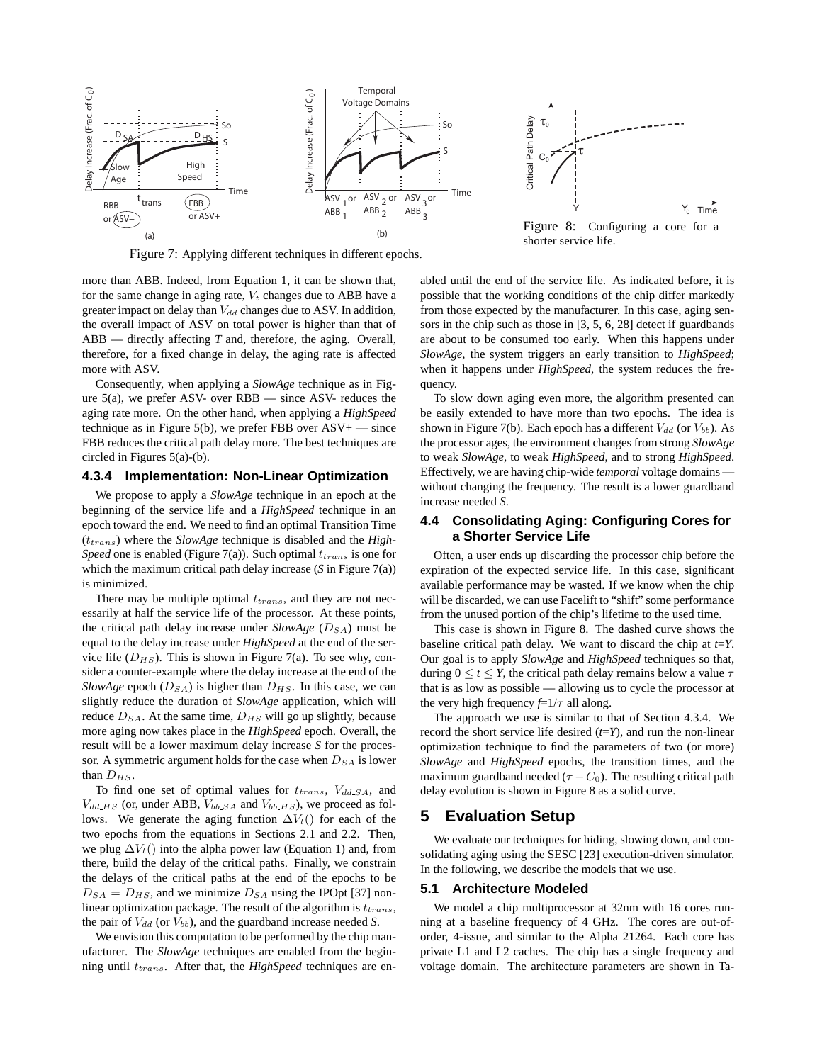

Figure 7: Applying different techniques in different epochs.

more than ABB. Indeed, from Equation 1, it can be shown that, for the same change in aging rate,  $V_t$  changes due to ABB have a greater impact on delay than  $V_{dd}$  changes due to ASV. In addition, the overall impact of ASV on total power is higher than that of ABB — directly affecting *T* and, therefore, the aging. Overall, therefore, for a fixed change in delay, the aging rate is affected more with ASV.

Consequently, when applying a *SlowAge* technique as in Figure 5(a), we prefer ASV- over RBB — since ASV- reduces the aging rate more. On the other hand, when applying a *HighSpeed* technique as in Figure 5(b), we prefer FBB over  $ASV+$  — since FBB reduces the critical path delay more. The best techniques are circled in Figures 5(a)-(b).

## **4.3.4 Implementation: Non-Linear Optimization**

We propose to apply a *SlowAge* technique in an epoch at the beginning of the service life and a *HighSpeed* technique in an epoch toward the end. We need to find an optimal Transition Time (ttrans) where the *SlowAge* technique is disabled and the *High-Speed* one is enabled (Figure 7(a)). Such optimal  $t_{trans}$  is one for which the maximum critical path delay increase (*S* in Figure 7(a)) is minimized.

There may be multiple optimal  $t_{trans}$ , and they are not necessarily at half the service life of the processor. At these points, the critical path delay increase under *SlowAge* ( $D_{SA}$ ) must be equal to the delay increase under *HighSpeed* at the end of the service life  $(D_{HS})$ . This is shown in Figure 7(a). To see why, consider a counter-example where the delay increase at the end of the *SlowAge* epoch  $(D_{SA})$  is higher than  $D_{HS}$ . In this case, we can slightly reduce the duration of *SlowAge* application, which will reduce  $D_{SA}$ . At the same time,  $D_{HS}$  will go up slightly, because more aging now takes place in the *HighSpeed* epoch. Overall, the result will be a lower maximum delay increase *S* for the processor. A symmetric argument holds for the case when  $D_{SA}$  is lower than  $D_{HS}$ .

To find one set of optimal values for  $t_{trans}$ ,  $V_{dd,SA}$ , and  $V_{dd,HS}$  (or, under ABB,  $V_{bb\_SA}$  and  $V_{bb\_HS}$ ), we proceed as follows. We generate the aging function  $\Delta V_t$ () for each of the two epochs from the equations in Sections 2.1 and 2.2. Then, we plug  $\Delta V_t$ () into the alpha power law (Equation 1) and, from there, build the delay of the critical paths. Finally, we constrain the delays of the critical paths at the end of the epochs to be  $D_{SA} = D_{HS}$ , and we minimize  $D_{SA}$  using the IPOpt [37] nonlinear optimization package. The result of the algorithm is  $t_{trans}$ , the pair of  $V_{dd}$  (or  $V_{bb}$ ), and the guardband increase needed *S*.

We envision this computation to be performed by the chip manufacturer. The *SlowAge* techniques are enabled from the beginning until  $t_{trans}$ . After that, the *HighSpeed* techniques are en-



Figure 8: Configuring a core for a shorter service life.

abled until the end of the service life. As indicated before, it is possible that the working conditions of the chip differ markedly from those expected by the manufacturer. In this case, aging sensors in the chip such as those in [3, 5, 6, 28] detect if guardbands are about to be consumed too early. When this happens under *SlowAge*, the system triggers an early transition to *HighSpeed*; when it happens under *HighSpeed*, the system reduces the frequency.

To slow down aging even more, the algorithm presented can be easily extended to have more than two epochs. The idea is shown in Figure 7(b). Each epoch has a different  $V_{dd}$  (or  $V_{bb}$ ). As the processor ages, the environment changes from strong *SlowAge* to weak *SlowAge*, to weak *HighSpeed*, and to strong *HighSpeed*. Effectively, we are having chip-wide *temporal* voltage domains without changing the frequency. The result is a lower guardband increase needed *S*.

## **4.4 Consolidating Aging: Configuring Cores for a Shorter Service Life**

Often, a user ends up discarding the processor chip before the expiration of the expected service life. In this case, significant available performance may be wasted. If we know when the chip will be discarded, we can use Facelift to "shift" some performance from the unused portion of the chip's lifetime to the used time.

This case is shown in Figure 8. The dashed curve shows the baseline critical path delay. We want to discard the chip at *t*=*Y*. Our goal is to apply *SlowAge* and *HighSpeed* techniques so that, during  $0 \le t \le Y$ , the critical path delay remains below a value  $\tau$ that is as low as possible — allowing us to cycle the processor at the very high frequency  $f=1/\tau$  all along.

The approach we use is similar to that of Section 4.3.4. We record the short service life desired (*t*=*Y*), and run the non-linear optimization technique to find the parameters of two (or more) *SlowAge* and *HighSpeed* epochs, the transition times, and the maximum guardband needed ( $\tau - C_0$ ). The resulting critical path delay evolution is shown in Figure 8 as a solid curve.

## **5 Evaluation Setup**

We evaluate our techniques for hiding, slowing down, and consolidating aging using the SESC [23] execution-driven simulator. In the following, we describe the models that we use.

#### **5.1 Architecture Modeled**

We model a chip multiprocessor at 32nm with 16 cores running at a baseline frequency of 4 GHz. The cores are out-oforder, 4-issue, and similar to the Alpha 21264. Each core has private L1 and L2 caches. The chip has a single frequency and voltage domain. The architecture parameters are shown in Ta-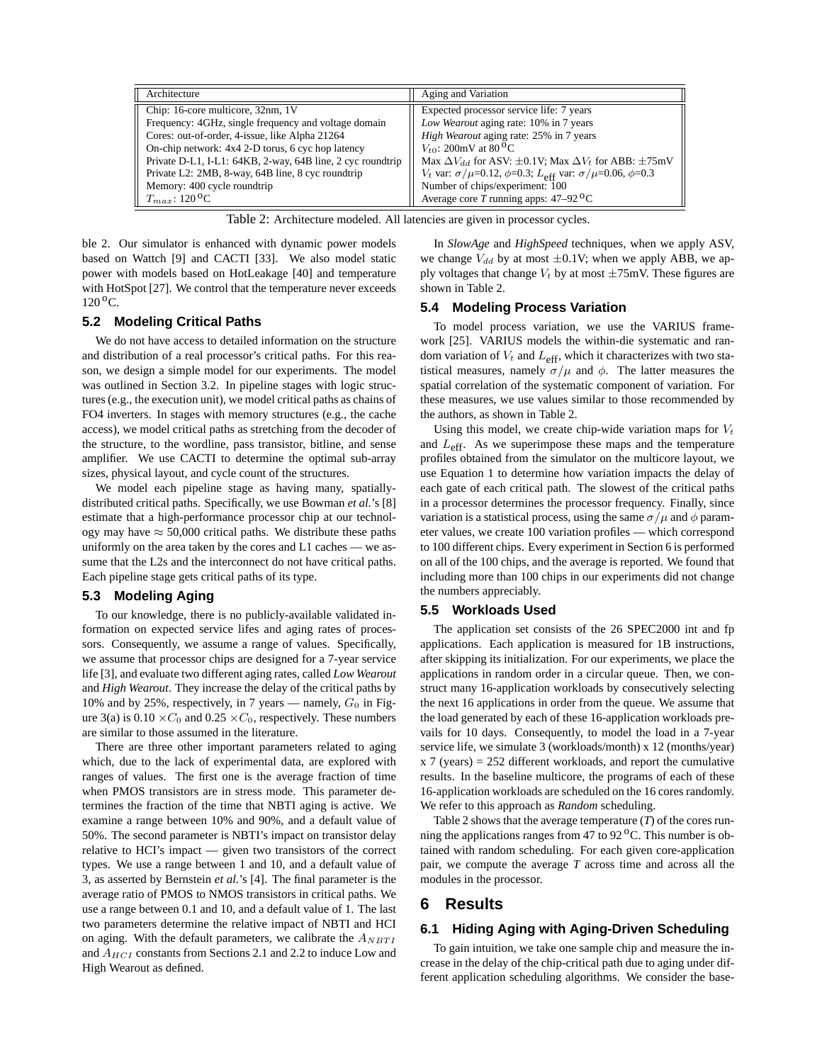| Architecture                                               | Aging and Variation                                                                               |  |  |
|------------------------------------------------------------|---------------------------------------------------------------------------------------------------|--|--|
| Chip: 16-core multicore, 32nm, 1V                          | Expected processor service life: 7 years                                                          |  |  |
| Frequency: 4GHz, single frequency and voltage domain       | Low Wearout aging rate: 10% in 7 years                                                            |  |  |
| Cores: out-of-order, 4-issue, like Alpha 21264             | <i>High Wearout</i> aging rate: 25% in 7 years                                                    |  |  |
| On-chip network: 4x4 2-D torus, 6 cyc hop latency          | $V_{t0}$ : 200mV at 80 <sup>o</sup> C                                                             |  |  |
| Private D-L1, I-L1: 64KB, 2-way, 64B line, 2 cyc roundtrip | Max $\Delta V_{dd}$ for ASV: $\pm 0.1$ V; Max $\Delta V_t$ for ABB: $\pm 75$ mV                   |  |  |
| Private L2: 2MB, 8-way, 64B line, 8 cyc roundtrip          | $V_t$ var: $\sigma/\mu$ =0.12, $\phi$ =0.3; $L_{\text{eff}}$ var: $\sigma/\mu$ =0.06, $\phi$ =0.3 |  |  |
| Memory: 400 cycle roundtrip                                | Number of chips/experiment: 100                                                                   |  |  |
| $T_{max}$ : 120 <sup>o</sup> C                             | Average core T running apps: $47-92\,^{\circ}\text{C}$                                            |  |  |

Table 2: Architecture modeled. All latencies are given in processor cycles.

ble 2. Our simulator is enhanced with dynamic power models based on Wattch [9] and CACTI [33]. We also model static power with models based on HotLeakage [40] and temperature with HotSpot [27]. We control that the temperature never exceeds  $120^{\circ}$ C.

#### **5.2 Modeling Critical Paths**

We do not have access to detailed information on the structure and distribution of a real processor's critical paths. For this reason, we design a simple model for our experiments. The model was outlined in Section 3.2. In pipeline stages with logic structures (e.g., the execution unit), we model critical paths as chains of FO4 inverters. In stages with memory structures (e.g., the cache access), we model critical paths as stretching from the decoder of the structure, to the wordline, pass transistor, bitline, and sense amplifier. We use CACTI to determine the optimal sub-array sizes, physical layout, and cycle count of the structures.

We model each pipeline stage as having many, spatiallydistributed critical paths. Specifically, we use Bowman *et al.*'s [8] estimate that a high-performance processor chip at our technology may have  $\approx$  50,000 critical paths. We distribute these paths uniformly on the area taken by the cores and L1 caches — we assume that the L2s and the interconnect do not have critical paths. Each pipeline stage gets critical paths of its type.

### **5.3 Modeling Aging**

To our knowledge, there is no publicly-available validated information on expected service lifes and aging rates of processors. Consequently, we assume a range of values. Specifically, we assume that processor chips are designed for a 7-year service life [3], and evaluate two different aging rates, called *Low Wearout* and *High Wearout*. They increase the delay of the critical paths by 10% and by 25%, respectively, in 7 years — namely,  $G_0$  in Figure 3(a) is  $0.10 \times C_0$  and  $0.25 \times C_0$ , respectively. These numbers are similar to those assumed in the literature.

There are three other important parameters related to aging which, due to the lack of experimental data, are explored with ranges of values. The first one is the average fraction of time when PMOS transistors are in stress mode. This parameter determines the fraction of the time that NBTI aging is active. We examine a range between 10% and 90%, and a default value of 50%. The second parameter is NBTI's impact on transistor delay relative to HCI's impact — given two transistors of the correct types. We use a range between 1 and 10, and a default value of 3, as asserted by Bernstein *et al.*'s [4]. The final parameter is the average ratio of PMOS to NMOS transistors in critical paths. We use a range between 0.1 and 10, and a default value of 1. The last two parameters determine the relative impact of NBTI and HCI on aging. With the default parameters, we calibrate the  $A_{NBTI}$ and  $A_{HCI}$  constants from Sections 2.1 and 2.2 to induce Low and High Wearout as defined.

In *SlowAge* and *HighSpeed* techniques, when we apply ASV, we change  $V_{dd}$  by at most  $\pm 0.1$ V; when we apply ABB, we apply voltages that change  $V_t$  by at most  $\pm 75$ mV. These figures are shown in Table 2.

#### **5.4 Modeling Process Variation**

To model process variation, we use the VARIUS framework [25]. VARIUS models the within-die systematic and random variation of  $V_t$  and  $L_{\text{eff}}$ , which it characterizes with two statistical measures, namely  $\sigma/\mu$  and  $\phi$ . The latter measures the spatial correlation of the systematic component of variation. For these measures, we use values similar to those recommended by the authors, as shown in Table 2.

Using this model, we create chip-wide variation maps for  $V_t$ and  $L_{\text{eff}}$ . As we superimpose these maps and the temperature profiles obtained from the simulator on the multicore layout, we use Equation 1 to determine how variation impacts the delay of each gate of each critical path. The slowest of the critical paths in a processor determines the processor frequency. Finally, since variation is a statistical process, using the same  $\sigma/\mu$  and  $\phi$  parameter values, we create 100 variation profiles — which correspond to 100 different chips. Every experiment in Section 6 is performed on all of the 100 chips, and the average is reported. We found that including more than 100 chips in our experiments did not change the numbers appreciably.

#### **5.5 Workloads Used**

The application set consists of the 26 SPEC2000 int and fp applications. Each application is measured for 1B instructions, after skipping its initialization. For our experiments, we place the applications in random order in a circular queue. Then, we construct many 16-application workloads by consecutively selecting the next 16 applications in order from the queue. We assume that the load generated by each of these 16-application workloads prevails for 10 days. Consequently, to model the load in a 7-year service life, we simulate 3 (workloads/month) x 12 (months/year)  $x \overline{7}$  (years) = 252 different workloads, and report the cumulative results. In the baseline multicore, the programs of each of these 16-application workloads are scheduled on the 16 cores randomly. We refer to this approach as *Random* scheduling.

Table 2 shows that the average temperature (*T*) of the cores running the applications ranges from 47 to  $92^{\circ}$ C. This number is obtained with random scheduling. For each given core-application pair, we compute the average *T* across time and across all the modules in the processor.

# **6 Results**

## **6.1 Hiding Aging with Aging-Driven Scheduling**

To gain intuition, we take one sample chip and measure the increase in the delay of the chip-critical path due to aging under different application scheduling algorithms. We consider the base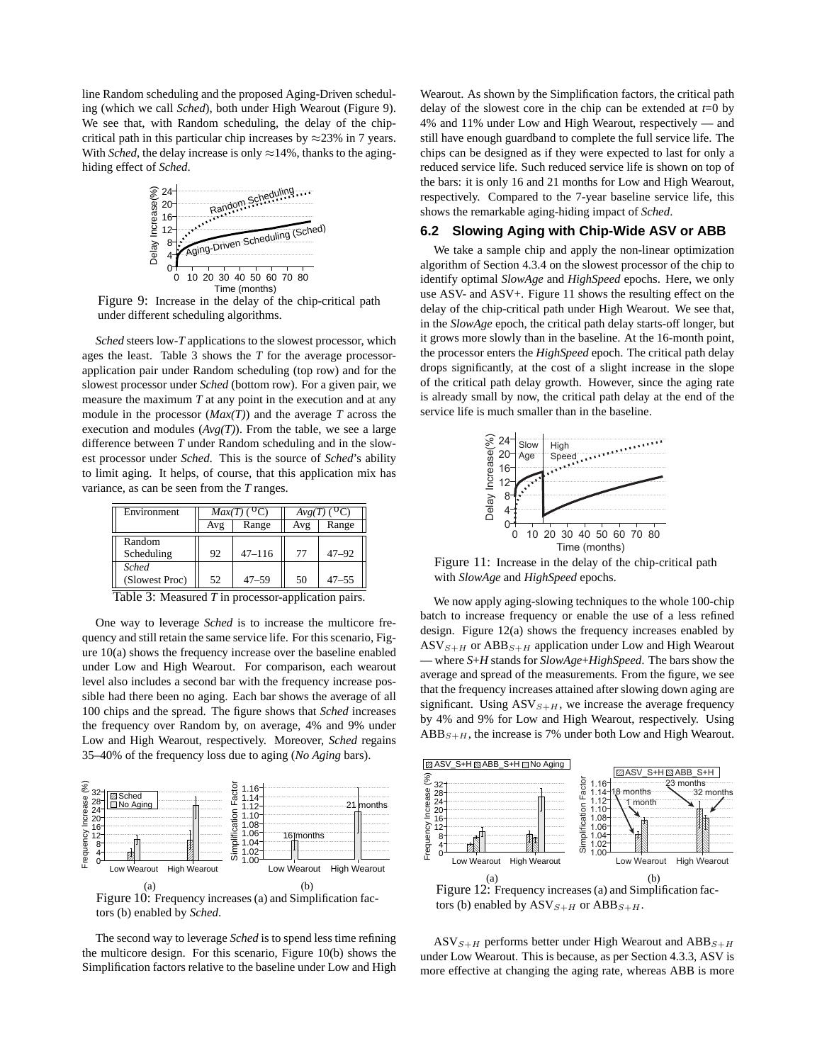line Random scheduling and the proposed Aging-Driven scheduling (which we call *Sched*), both under High Wearout (Figure 9). We see that, with Random scheduling, the delay of the chipcritical path in this particular chip increases by  $\approx$ 23% in 7 years. With *Sched*, the delay increase is only  $\approx$  14%, thanks to the aginghiding effect of *Sched*.



Figure 9: Increase in the delay of the chip-critical path under different scheduling algorithms.

*Sched* steers low-*T* applications to the slowest processor, which ages the least. Table 3 shows the *T* for the average processorapplication pair under Random scheduling (top row) and for the slowest processor under *Sched* (bottom row). For a given pair, we measure the maximum *T* at any point in the execution and at any module in the processor (*Max(T)*) and the average *T* across the execution and modules  $(Avg(T))$ . From the table, we see a large difference between *T* under Random scheduling and in the slowest processor under *Sched*. This is the source of *Sched*'s ability to limit aging. It helps, of course, that this application mix has variance, as can be seen from the *T* ranges.

| Environment    | $Max(T)$ ( <sup>O</sup> C) |            | $Avg(T)$ ( <sup>O</sup> C) |           |
|----------------|----------------------------|------------|----------------------------|-----------|
|                | Avg                        | Range      | Avg                        | Range     |
| Random         |                            |            |                            |           |
| Scheduling     | 92                         | $47 - 116$ | 77                         | $47 - 92$ |
| <b>Sched</b>   |                            |            |                            |           |
| (Slowest Proc) | 52                         | $47 - 59$  | 50                         | $47 - 55$ |

Table 3: Measured *T* in processor-application pairs.

One way to leverage *Sched* is to increase the multicore frequency and still retain the same service life. For this scenario, Figure 10(a) shows the frequency increase over the baseline enabled under Low and High Wearout. For comparison, each wearout level also includes a second bar with the frequency increase possible had there been no aging. Each bar shows the average of all 100 chips and the spread. The figure shows that *Sched* increases the frequency over Random by, on average, 4% and 9% under Low and High Wearout, respectively. Moreover, *Sched* regains 35–40% of the frequency loss due to aging (*No Aging* bars).



Figure 10: Frequency increases (a) and Simplification factors (b) enabled by *Sched*.

The second way to leverage *Sched* is to spend less time refining the multicore design. For this scenario, Figure 10(b) shows the Simplification factors relative to the baseline under Low and High Wearout. As shown by the Simplification factors, the critical path delay of the slowest core in the chip can be extended at  $t=0$  by 4% and 11% under Low and High Wearout, respectively — and still have enough guardband to complete the full service life. The chips can be designed as if they were expected to last for only a reduced service life. Such reduced service life is shown on top of the bars: it is only 16 and 21 months for Low and High Wearout, respectively. Compared to the 7-year baseline service life, this shows the remarkable aging-hiding impact of *Sched*.

#### **6.2 Slowing Aging with Chip-Wide ASV or ABB**

We take a sample chip and apply the non-linear optimization algorithm of Section 4.3.4 on the slowest processor of the chip to identify optimal *SlowAge* and *HighSpeed* epochs. Here, we only use ASV- and ASV+. Figure 11 shows the resulting effect on the delay of the chip-critical path under High Wearout. We see that, in the *SlowAge* epoch, the critical path delay starts-off longer, but it grows more slowly than in the baseline. At the 16-month point, the processor enters the *HighSpeed* epoch. The critical path delay drops significantly, at the cost of a slight increase in the slope of the critical path delay growth. However, since the aging rate is already small by now, the critical path delay at the end of the service life is much smaller than in the baseline.



Figure 11: Increase in the delay of the chip-critical path with *SlowAge* and *HighSpeed* epochs.

We now apply aging-slowing techniques to the whole 100-chip batch to increase frequency or enable the use of a less refined design. Figure 12(a) shows the frequency increases enabled by  $\text{ASV}_{S+H}$  or  $\text{ABB}_{S+H}$  application under Low and High Wearout — where *S*+*H* stands for *SlowAge*+*HighSpeed*. The bars show the average and spread of the measurements. From the figure, we see that the frequency increases attained after slowing down aging are significant. Using  $ASV_{S+H}$ , we increase the average frequency by 4% and 9% for Low and High Wearout, respectively. Using  $ABB_{S+H}$ , the increase is 7% under both Low and High Wearout.



tors (b) enabled by  $\text{ASV}_{S+H}$  or  $\text{ABB}_{S+H}$ .

 $\text{ASV}_{S+H}$  performs better under High Wearout and  $\text{ABB}_{S+H}$ under Low Wearout. This is because, as per Section 4.3.3, ASV is more effective at changing the aging rate, whereas ABB is more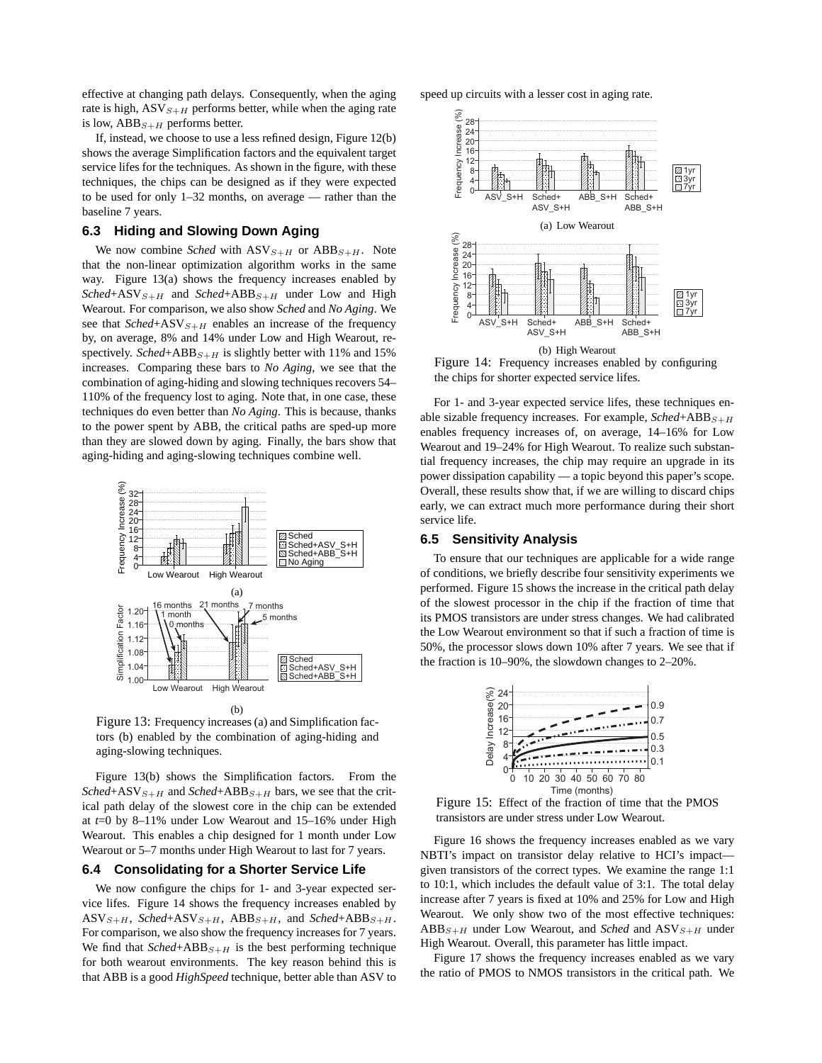effective at changing path delays. Consequently, when the aging rate is high,  $ASV_{S+H}$  performs better, while when the aging rate is low,  $ABB_{S+H}$  performs better.

If, instead, we choose to use a less refined design, Figure 12(b) shows the average Simplification factors and the equivalent target service lifes for the techniques. As shown in the figure, with these techniques, the chips can be designed as if they were expected to be used for only 1–32 months, on average — rather than the baseline 7 years.

#### **6.3 Hiding and Slowing Down Aging**

We now combine *Sched* with  $ASV_{S+H}$  or  $ABB_{S+H}$ . Note that the non-linear optimization algorithm works in the same way. Figure 13(a) shows the frequency increases enabled by  $Sched+ASV<sub>S+H</sub>$  and  $Sched+ABB<sub>S+H</sub>$  under Low and High Wearout. For comparison, we also show *Sched* and *No Aging*. We see that  $Sched + ASV_{S+H}$  enables an increase of the frequency by, on average, 8% and 14% under Low and High Wearout, respectively. *Sched*+ABB<sub>S+H</sub> is slightly better with 11% and 15% increases. Comparing these bars to *No Aging*, we see that the combination of aging-hiding and slowing techniques recovers 54– 110% of the frequency lost to aging. Note that, in one case, these techniques do even better than *No Aging*. This is because, thanks to the power spent by ABB, the critical paths are sped-up more than they are slowed down by aging. Finally, the bars show that aging-hiding and aging-slowing techniques combine well.



Figure 13: Frequency increases (a) and Simplification factors (b) enabled by the combination of aging-hiding and aging-slowing techniques.

Figure 13(b) shows the Simplification factors. From the *Sched*+ASV<sub>S+H</sub> and *Sched*+ABB<sub>S+H</sub> bars, we see that the critical path delay of the slowest core in the chip can be extended at *t*=0 by 8–11% under Low Wearout and 15–16% under High Wearout. This enables a chip designed for 1 month under Low Wearout or 5–7 months under High Wearout to last for 7 years.

## **6.4 Consolidating for a Shorter Service Life**

We now configure the chips for 1- and 3-year expected service lifes. Figure 14 shows the frequency increases enabled by  $\text{ASV}_{S+H}$ , *Sched*+ASV<sub>S+H</sub>, ABB<sub>S+H</sub>, and *Sched*+ABB<sub>S+H</sub>. For comparison, we also show the frequency increases for 7 years. We find that  $Sched + ABB_{S+H}$  is the best performing technique for both wearout environments. The key reason behind this is that ABB is a good *HighSpeed* technique, better able than ASV to

speed up circuits with a lesser cost in aging rate.



Figure 14: Frequency increases enabled by configuring the chips for shorter expected service lifes.

For 1- and 3-year expected service lifes, these techniques enable sizable frequency increases. For example,  $Sched+ABB_{S+H}$ enables frequency increases of, on average, 14–16% for Low Wearout and 19–24% for High Wearout. To realize such substantial frequency increases, the chip may require an upgrade in its power dissipation capability — a topic beyond this paper's scope. Overall, these results show that, if we are willing to discard chips early, we can extract much more performance during their short service life.

#### **6.5 Sensitivity Analysis**

To ensure that our techniques are applicable for a wide range of conditions, we briefly describe four sensitivity experiments we performed. Figure 15 shows the increase in the critical path delay of the slowest processor in the chip if the fraction of time that its PMOS transistors are under stress changes. We had calibrated the Low Wearout environment so that if such a fraction of time is 50%, the processor slows down 10% after 7 years. We see that if the fraction is 10–90%, the slowdown changes to 2–20%.



Figure 15: Effect of the fraction of time that the PMOS transistors are under stress under Low Wearout.

Figure 16 shows the frequency increases enabled as we vary NBTI's impact on transistor delay relative to HCI's impact given transistors of the correct types. We examine the range 1:1 to 10:1, which includes the default value of 3:1. The total delay increase after 7 years is fixed at 10% and 25% for Low and High Wearout. We only show two of the most effective techniques:  $ABB_{S+H}$  under Low Wearout, and *Sched* and  $ASV_{S+H}$  under High Wearout. Overall, this parameter has little impact.

Figure 17 shows the frequency increases enabled as we vary the ratio of PMOS to NMOS transistors in the critical path. We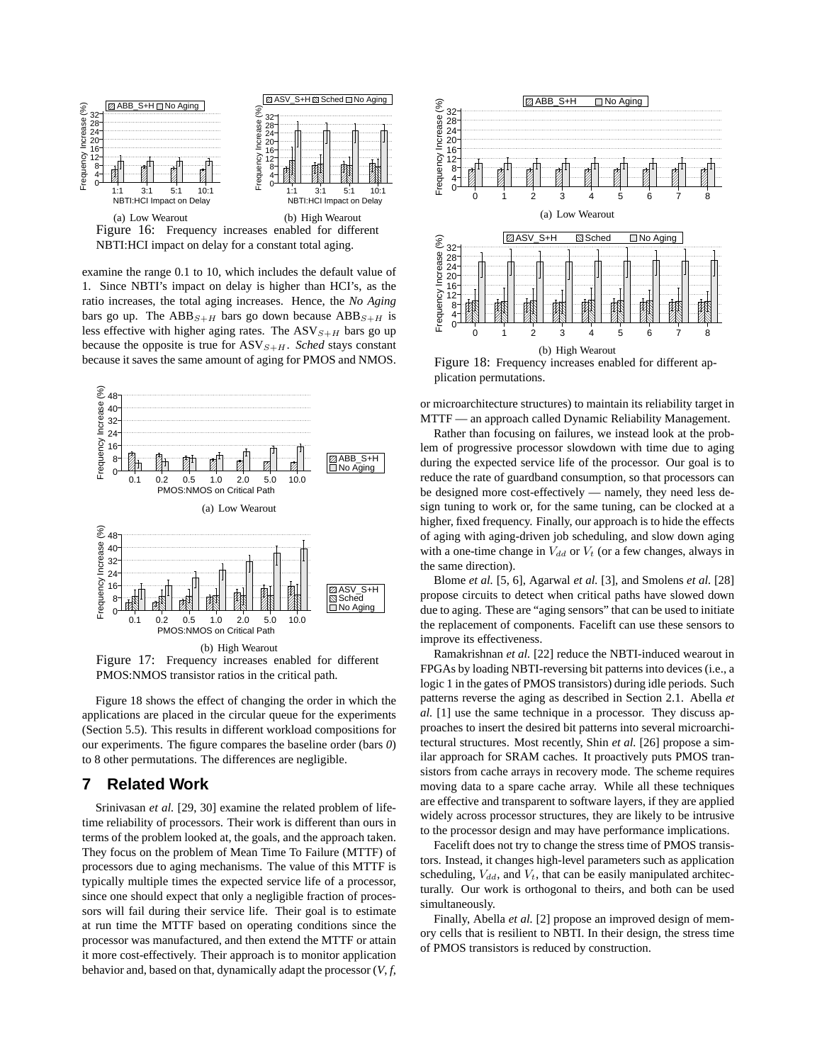

NBTI:HCI impact on delay for a constant total aging.

examine the range 0.1 to 10, which includes the default value of 1. Since NBTI's impact on delay is higher than HCI's, as the ratio increases, the total aging increases. Hence, the *No Aging* bars go up. The  $ABB_{S+H}$  bars go down because  $ABB_{S+H}$  is less effective with higher aging rates. The  $\text{ASV}_{S+H}$  bars go up because the opposite is true for  $\text{ASV}_{S+H}$ . *Sched* stays constant because it saves the same amount of aging for PMOS and NMOS.



Figure 17: Frequency increases enabled for different PMOS:NMOS transistor ratios in the critical path.

Figure 18 shows the effect of changing the order in which the applications are placed in the circular queue for the experiments (Section 5.5). This results in different workload compositions for our experiments. The figure compares the baseline order (bars *0*) to 8 other permutations. The differences are negligible.

## **7 Related Work**

Srinivasan *et al.* [29, 30] examine the related problem of lifetime reliability of processors. Their work is different than ours in terms of the problem looked at, the goals, and the approach taken. They focus on the problem of Mean Time To Failure (MTTF) of processors due to aging mechanisms. The value of this MTTF is typically multiple times the expected service life of a processor, since one should expect that only a negligible fraction of processors will fail during their service life. Their goal is to estimate at run time the MTTF based on operating conditions since the processor was manufactured, and then extend the MTTF or attain it more cost-effectively. Their approach is to monitor application behavior and, based on that, dynamically adapt the processor (*V*, *f*,



Figure 18: Frequency increases enabled for different application permutations.

or microarchitecture structures) to maintain its reliability target in MTTF — an approach called Dynamic Reliability Management.

Rather than focusing on failures, we instead look at the problem of progressive processor slowdown with time due to aging during the expected service life of the processor. Our goal is to reduce the rate of guardband consumption, so that processors can be designed more cost-effectively — namely, they need less design tuning to work or, for the same tuning, can be clocked at a higher, fixed frequency. Finally, our approach is to hide the effects of aging with aging-driven job scheduling, and slow down aging with a one-time change in  $V_{dd}$  or  $V_t$  (or a few changes, always in the same direction).

Blome *et al.* [5, 6], Agarwal *et al.* [3], and Smolens *et al.* [28] propose circuits to detect when critical paths have slowed down due to aging. These are "aging sensors" that can be used to initiate the replacement of components. Facelift can use these sensors to improve its effectiveness.

Ramakrishnan *et al.* [22] reduce the NBTI-induced wearout in FPGAs by loading NBTI-reversing bit patterns into devices (i.e., a logic 1 in the gates of PMOS transistors) during idle periods. Such patterns reverse the aging as described in Section 2.1. Abella *et al.* [1] use the same technique in a processor. They discuss approaches to insert the desired bit patterns into several microarchitectural structures. Most recently, Shin *et al.* [26] propose a similar approach for SRAM caches. It proactively puts PMOS transistors from cache arrays in recovery mode. The scheme requires moving data to a spare cache array. While all these techniques are effective and transparent to software layers, if they are applied widely across processor structures, they are likely to be intrusive to the processor design and may have performance implications.

Facelift does not try to change the stress time of PMOS transistors. Instead, it changes high-level parameters such as application scheduling,  $V_{dd}$ , and  $V_t$ , that can be easily manipulated architecturally. Our work is orthogonal to theirs, and both can be used simultaneously.

Finally, Abella *et al.* [2] propose an improved design of memory cells that is resilient to NBTI. In their design, the stress time of PMOS transistors is reduced by construction.